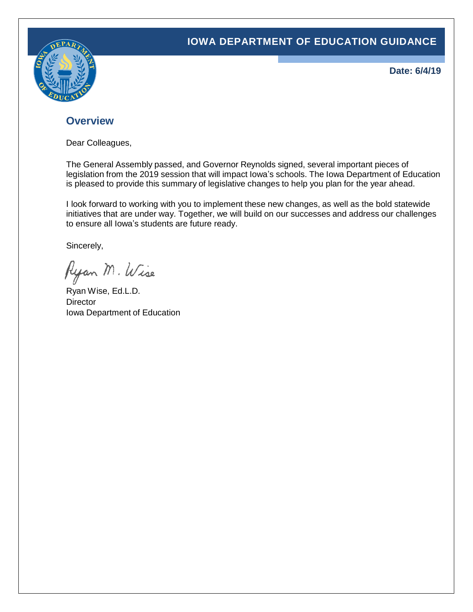### **IOWA DEPARTMENT OF EDUCATION GUIDANCE**



**Date: 6/4/19**

### **Overview**

Dear Colleagues,

The General Assembly passed, and Governor Reynolds signed, several important pieces of legislation from the 2019 session that will impact Iowa's schools. The Iowa Department of Education is pleased to provide this summary of legislative changes to help you plan for the year ahead.

I look forward to working with you to implement these new changes, as well as the bold statewide initiatives that are under way. Together, we will build on our successes and address our challenges to ensure all Iowa's students are future ready.

Sincerely,

Ryan M. Wise

Ryan Wise, Ed.L.D. **Director** Iowa Department of Education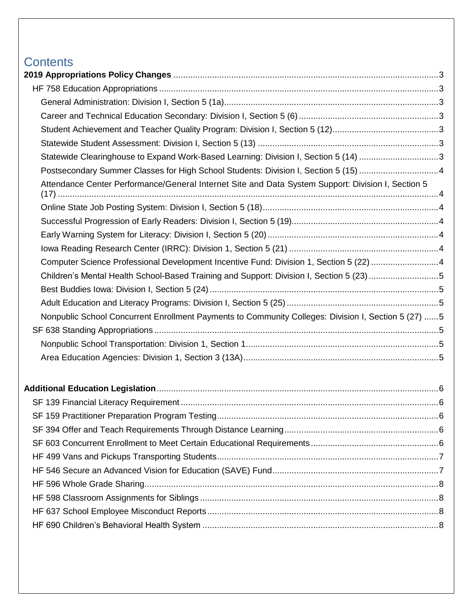# **Contents**

| Statewide Clearinghouse to Expand Work-Based Learning: Division I, Section 5 (14) 3                 |  |
|-----------------------------------------------------------------------------------------------------|--|
| Postsecondary Summer Classes for High School Students: Division I, Section 5 (15) 4                 |  |
| Attendance Center Performance/General Internet Site and Data System Support: Division I, Section 5  |  |
|                                                                                                     |  |
|                                                                                                     |  |
|                                                                                                     |  |
|                                                                                                     |  |
| Computer Science Professional Development Incentive Fund: Division 1, Section 5 (22) 4              |  |
| Children's Mental Health School-Based Training and Support: Division I, Section 5 (23) 5            |  |
|                                                                                                     |  |
|                                                                                                     |  |
| Nonpublic School Concurrent Enrollment Payments to Community Colleges: Division I, Section 5 (27) 5 |  |
|                                                                                                     |  |
|                                                                                                     |  |
|                                                                                                     |  |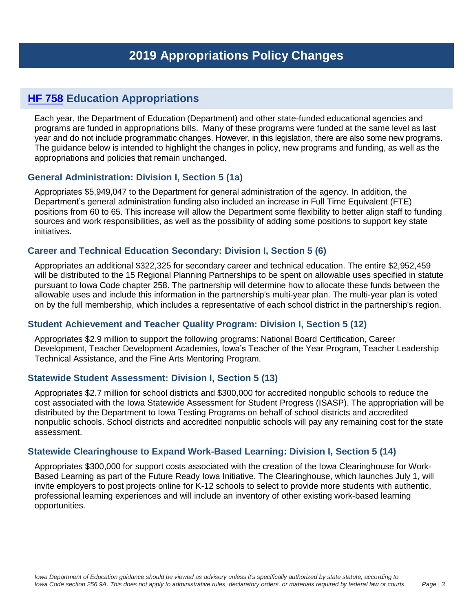# <span id="page-2-1"></span><span id="page-2-0"></span>**HF [758](https://www.legis.iowa.gov/legislation/BillBook?ga=%24selectedGa.generalAssemblyID&ba=hf758) Education Appropriations**

Each year, the Department of Education (Department) and other state-funded educational agencies and programs are funded in appropriations bills. Many of these programs were funded at the same level as last year and do not include programmatic changes. However, in this legislation, there are also some new programs. The guidance below is intended to highlight the changes in policy, new programs and funding, as well as the appropriations and policies that remain unchanged.

#### <span id="page-2-2"></span>**General Administration: Division I, Section 5 (1a)**

Appropriates \$5,949,047 to the Department for general administration of the agency. In addition, the Department's general administration funding also included an increase in Full Time Equivalent (FTE) positions from 60 to 65. This increase will allow the Department some flexibility to better align staff to funding sources and work responsibilities, as well as the possibility of adding some positions to support key state initiatives.

### <span id="page-2-3"></span>**Career and Technical Education Secondary: Division I, Section 5 (6)**

Appropriates an additional \$322,325 for secondary career and technical education. The entire \$2,952,459 will be distributed to the 15 Regional Planning Partnerships to be spent on allowable uses specified in statute pursuant to Iowa Code chapter 258. The partnership will determine how to allocate these funds between the allowable uses and include this information in the partnership's multi-year plan. The multi-year plan is voted on by the full membership, which includes a representative of each school district in the partnership's region.

### <span id="page-2-4"></span>**Student Achievement and Teacher Quality Program: Division I, Section 5 (12)**

Appropriates \$2.9 million to support the following programs: National Board Certification, Career Development, Teacher Development Academies, Iowa's Teacher of the Year Program, Teacher Leadership Technical Assistance, and the Fine Arts Mentoring Program.

#### <span id="page-2-5"></span>**Statewide Student Assessment: Division I, Section 5 (13)**

Appropriates \$2.7 million for school districts and \$300,000 for accredited nonpublic schools to reduce the cost associated with the Iowa Statewide Assessment for Student Progress (ISASP). The appropriation will be distributed by the Department to Iowa Testing Programs on behalf of school districts and accredited nonpublic schools. School districts and accredited nonpublic schools will pay any remaining cost for the state assessment.

#### <span id="page-2-6"></span>**Statewide Clearinghouse to Expand Work-Based Learning: Division I, Section 5 (14)**

Appropriates \$300,000 for support costs associated with the creation of the Iowa Clearinghouse for Work-Based Learning as part of the Future Ready Iowa Initiative. The Clearinghouse, which launches July 1, will invite employers to post projects online for K-12 schools to select to provide more students with authentic, professional learning experiences and will include an inventory of other existing work-based learning opportunities.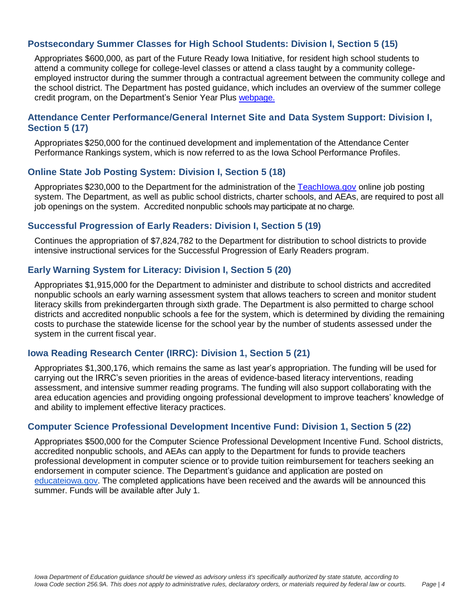#### <span id="page-3-0"></span>**Postsecondary Summer Classes for High School Students: Division I, Section 5 (15)**

Appropriates \$600,000, as part of the Future Ready Iowa Initiative, for resident high school students to attend a community college for college-level classes or attend a class taught by a community collegeemployed instructor during the summer through a contractual agreement between the community college and the school district. The Department has posted guidance, which includes an overview of the summer college credit program, on the Department's Senior Year Plus [webpage.](https://educateiowa.gov/adult-career-and-community-college/senior-year-plus-syp#Summer_College_Credit_Program)

#### <span id="page-3-1"></span>**Attendance Center Performance/General Internet Site and Data System Support: Division I, Section 5 (17)**

Appropriates \$250,000 for the continued development and implementation of the Attendance Center Performance Rankings system, which is now referred to as the Iowa School Performance Profiles.

#### <span id="page-3-2"></span>**Online State Job Posting System: Division I, Section 5 (18)**

Appropriates \$230,000 to the Department for the administration of the Teachlowa.gov online job posting system. The Department, as well as public school districts, charter schools, and AEAs, are required to post all job openings on the system. Accredited nonpublic schools may participate at no charge.

#### <span id="page-3-3"></span>**Successful Progression of Early Readers: Division I, Section 5 (19)**

Continues the appropriation of \$7,824,782 to the Department for distribution to school districts to provide intensive instructional services for the Successful Progression of Early Readers program.

#### <span id="page-3-4"></span>**Early Warning System for Literacy: Division I, Section 5 (20)**

Appropriates \$1,915,000 for the Department to administer and distribute to school districts and accredited nonpublic schools an early warning assessment system that allows teachers to screen and monitor student literacy skills from prekindergarten through sixth grade. The Department is also permitted to charge school districts and accredited nonpublic schools a fee for the system, which is determined by dividing the remaining costs to purchase the statewide license for the school year by the number of students assessed under the system in the current fiscal year.

#### <span id="page-3-5"></span>**Iowa Reading Research Center (IRRC): Division 1, Section 5 (21)**

Appropriates \$1,300,176, which remains the same as last year's appropriation. The funding will be used for carrying out the IRRC's seven priorities in the areas of evidence-based literacy interventions, reading assessment, and intensive summer reading programs. The funding will also support collaborating with the area education agencies and providing ongoing professional development to improve teachers' knowledge of and ability to implement effective literacy practices.

#### <span id="page-3-6"></span>**Computer Science Professional Development Incentive Fund: Division 1, Section 5 (22)**

Appropriates \$500,000 for the Computer Science Professional Development Incentive Fund. School districts, accredited nonpublic schools, and AEAs can apply to the Department for funds to provide teachers professional development in computer science or to provide tuition reimbursement for teachers seeking an endorsement in computer science. The Department's guidance and application are posted on [educateiowa.gov.](https://educateiowa.gov/pk-12/instruction/computer-science/computer-science-professional-development-incentive-fund) The completed applications have been received and the awards will be announced this summer. Funds will be available after July 1.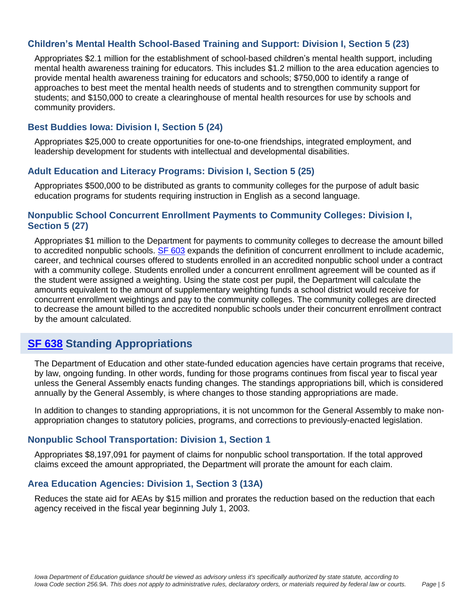### <span id="page-4-0"></span>**Children's Mental Health School-Based Training and Support: Division I, Section 5 (23)**

Appropriates \$2.1 million for the establishment of school-based children's mental health support, including mental health awareness training for educators. This includes \$1.2 million to the area education agencies to provide mental health awareness training for educators and schools; \$750,000 to identify a range of approaches to best meet the mental health needs of students and to strengthen community support for students; and \$150,000 to create a clearinghouse of mental health resources for use by schools and community providers.

#### <span id="page-4-1"></span>**Best Buddies Iowa: Division I, Section 5 (24)**

Appropriates \$25,000 to create opportunities for one-to-one friendships, integrated employment, and leadership development for students with intellectual and developmental disabilities.

#### <span id="page-4-2"></span>**Adult Education and Literacy Programs: Division I, Section 5 (25)**

Appropriates \$500,000 to be distributed as grants to community colleges for the purpose of adult basic education programs for students requiring instruction in English as a second language.

#### <span id="page-4-3"></span>**Nonpublic School Concurrent Enrollment Payments to Community Colleges: Division I, Section 5 (27)**

Appropriates \$1 million to the Department for payments to community colleges to decrease the amount billed to accredited nonpublic schools. SF [603](https://www.legis.iowa.gov/legislation/BillBook?ga=88&ba=SF%20603) expands the definition of concurrent enrollment to include academic, career, and technical courses offered to students enrolled in an accredited nonpublic school under a contract with a community college. Students enrolled under a concurrent enrollment agreement will be counted as if the student were assigned a weighting. Using the state cost per pupil, the Department will calculate the amounts equivalent to the amount of supplementary weighting funds a school district would receive for concurrent enrollment weightings and pay to the community colleges. The community colleges are directed to decrease the amount billed to the accredited nonpublic schools under their concurrent enrollment contract by the amount calculated.

# <span id="page-4-4"></span>**SF [638](https://www.legis.iowa.gov/legislation/BillBook?ga=%24selectedGa.generalAssemblyID&ba=sf638) Standing Appropriations**

The Department of Education and other state-funded education agencies have certain programs that receive, by law, ongoing funding. In other words, funding for those programs continues from fiscal year to fiscal year unless the General Assembly enacts funding changes. The standings appropriations bill, which is considered annually by the General Assembly, is where changes to those standing appropriations are made.

In addition to changes to standing appropriations, it is not uncommon for the General Assembly to make nonappropriation changes to statutory policies, programs, and corrections to previously-enacted legislation.

#### <span id="page-4-5"></span>**Nonpublic School Transportation: Division 1, Section 1**

Appropriates \$8,197,091 for payment of claims for nonpublic school transportation. If the total approved claims exceed the amount appropriated, the Department will prorate the amount for each claim.

#### <span id="page-4-6"></span>**Area Education Agencies: Division 1, Section 3 (13A)**

Reduces the state aid for AEAs by \$15 million and prorates the reduction based on the reduction that each agency received in the fiscal year beginning July 1, 2003.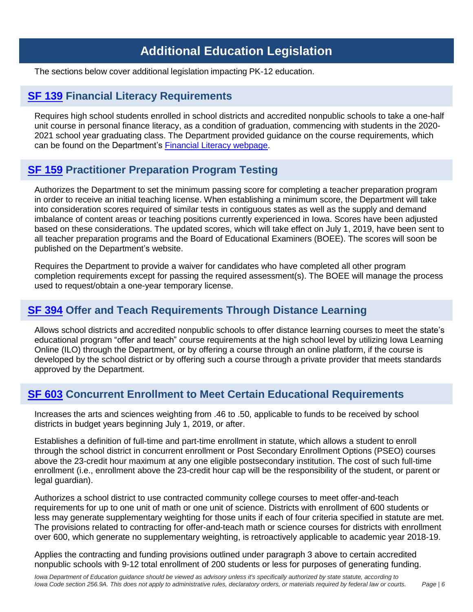# **Additional Education Legislation**

<span id="page-5-0"></span>The sections below cover additional legislation impacting PK-12 education.

### <span id="page-5-1"></span>**SF [139](https://www.legis.iowa.gov/legislation/BillBook?ga=%24selectedGa.generalAssemblyID&ba=sf139) Financial Literacy Requirements**

Requires high school students enrolled in school districts and accredited nonpublic schools to take a one-half unit course in personal finance literacy, as a condition of graduation, commencing with students in the 2020- 2021 school year graduating class. The Department provided guidance on the course requirements, which can be found on the Department's Financial Literacy [webpage.](https://educateiowa.gov/financial-literacy)

## <span id="page-5-2"></span>**SF [159](https://www.legis.iowa.gov/legislation/BillBook?ga=%24selectedGa.generalAssemblyID&ba=sf159) Practitioner Preparation Program Testing**

Authorizes the Department to set the minimum passing score for completing a teacher preparation program in order to receive an initial teaching license. When establishing a minimum score, the Department will take into consideration scores required of similar tests in contiguous states as well as the supply and demand imbalance of content areas or teaching positions currently experienced in Iowa. Scores have been adjusted based on these considerations. The updated scores, which will take effect on July 1, 2019, have been sent to all teacher preparation programs and the Board of Educational Examiners (BOEE). The scores will soon be published on the Department's website.

Requires the Department to provide a waiver for candidates who have completed all other program completion requirements except for passing the required assessment(s). The BOEE will manage the process used to request/obtain a one-year temporary license.

# <span id="page-5-3"></span>**SF [394](https://www.legis.iowa.gov/legislation/BillBook?ga=%24selectedGa.generalAssemblyID&ba=sf394) Offer and Teach Requirements Through Distance Learning**

Allows school districts and accredited nonpublic schools to offer distance learning courses to meet the state's educational program "offer and teach" course requirements at the high school level by utilizing Iowa Learning Online (ILO) through the Department, or by offering a course through an online platform, if the course is developed by the school district or by offering such a course through a private provider that meets standards approved by the Department.

## <span id="page-5-4"></span>**SF [603](https://www.legis.iowa.gov/legislation/BillBook?ga=%24selectedGa.generalAssemblyID&ba=sf603) Concurrent Enrollment to Meet Certain Educational Requirements**

Increases the arts and sciences weighting from .46 to .50, applicable to funds to be received by school districts in budget years beginning July 1, 2019, or after.

Establishes a definition of full-time and part-time enrollment in statute, which allows a student to enroll through the school district in concurrent enrollment or Post Secondary Enrollment Options (PSEO) courses above the 23-credit hour maximum at any one eligible postsecondary institution. The cost of such full-time enrollment (i.e., enrollment above the 23-credit hour cap will be the responsibility of the student, or parent or legal guardian).

Authorizes a school district to use contracted community college courses to meet offer-and-teach requirements for up to one unit of math or one unit of science. Districts with enrollment of 600 students or less may generate supplementary weighting for those units if each of four criteria specified in statute are met. The provisions related to contracting for offer-and-teach math or science courses for districts with enrollment over 600, which generate no supplementary weighting, is retroactively applicable to academic year 2018-19.

Applies the contracting and funding provisions outlined under paragraph 3 above to certain accredited nonpublic schools with 9-12 total enrollment of 200 students or less for purposes of generating funding.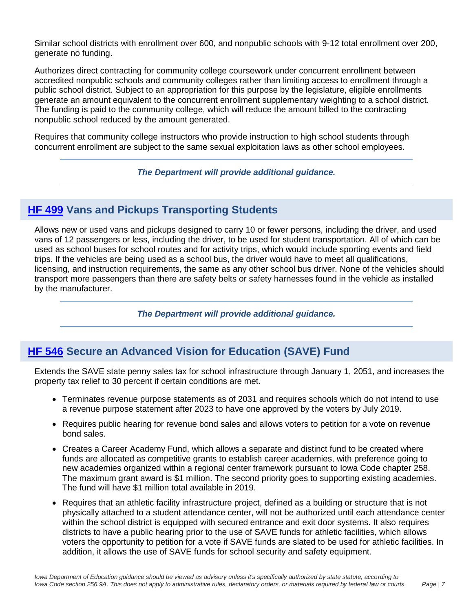Similar school districts with enrollment over 600, and nonpublic schools with 9-12 total enrollment over 200, generate no funding.

Authorizes direct contracting for community college coursework under concurrent enrollment between accredited nonpublic schools and community colleges rather than limiting access to enrollment through a public school district. Subject to an appropriation for this purpose by the legislature, eligible enrollments generate an amount equivalent to the concurrent enrollment supplementary weighting to a school district. The funding is paid to the community college, which will reduce the amount billed to the contracting nonpublic school reduced by the amount generated.

Requires that community college instructors who provide instruction to high school students through concurrent enrollment are subject to the same sexual exploitation laws as other school employees.

*The Department will provide additional guidance.*

# <span id="page-6-0"></span>**HF [499](https://www.legis.iowa.gov/legislation/BillBook?ga=%24selectedGa.generalAssemblyID&ba=hf499) Vans and Pickups Transporting Students**

Allows new or used vans and pickups designed to carry 10 or fewer persons, including the driver, and used vans of 12 passengers or less, including the driver, to be used for student transportation. All of which can be used as school buses for school routes and for activity trips, which would include sporting events and field trips. If the vehicles are being used as a school bus, the driver would have to meet all qualifications, licensing, and instruction requirements, the same as any other school bus driver. None of the vehicles should transport more passengers than there are safety belts or safety harnesses found in the vehicle as installed by the manufacturer.

*The Department will provide additional guidance.*

## <span id="page-6-1"></span>**HF [546](https://www.legis.iowa.gov/legislation/BillBook?ga=%24selectedGa.generalAssemblyID&ba=hf546) Secure an Advanced Vision for Education (SAVE) Fund**

Extends the SAVE state penny sales tax for school infrastructure through January 1, 2051, and increases the property tax relief to 30 percent if certain conditions are met.

- Terminates revenue purpose statements as of 2031 and requires schools which do not intend to use a revenue purpose statement after 2023 to have one approved by the voters by July 2019.
- Requires public hearing for revenue bond sales and allows voters to petition for a vote on revenue bond sales.
- Creates a Career Academy Fund, which allows a separate and distinct fund to be created where funds are allocated as competitive grants to establish career academies, with preference going to new academies organized within a regional center framework pursuant to Iowa Code chapter 258. The maximum grant award is \$1 million. The second priority goes to supporting existing academies. The fund will have \$1 million total available in 2019.
- Requires that an athletic facility infrastructure project, defined as a building or structure that is not physically attached to a student attendance center, will not be authorized until each attendance center within the school district is equipped with secured entrance and exit door systems. It also requires districts to have a public hearing prior to the use of SAVE funds for athletic facilities, which allows voters the opportunity to petition for a vote if SAVE funds are slated to be used for athletic facilities. In addition, it allows the use of SAVE funds for school security and safety equipment.